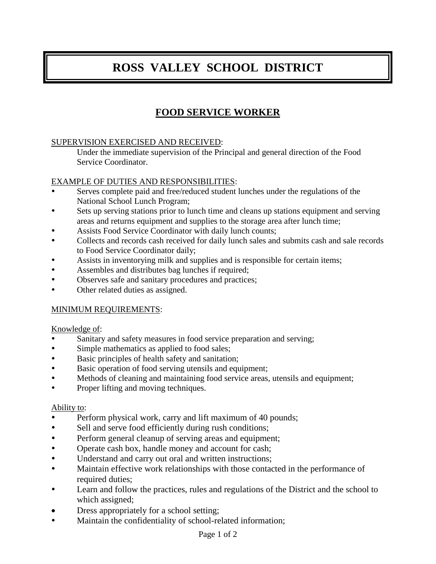# **ROSS VALLEY SCHOOL DISTRICT**

# **FOOD SERVICE WORKER**

#### SUPERVISION EXERCISED AND RECEIVED:

Under the immediate supervision of the Principal and general direction of the Food Service Coordinator.

### EXAMPLE OF DUTIES AND RESPONSIBILITIES:

- Serves complete paid and free/reduced student lunches under the regulations of the National School Lunch Program;
- Sets up serving stations prior to lunch time and cleans up stations equipment and serving areas and returns equipment and supplies to the storage area after lunch time;
- Assists Food Service Coordinator with daily lunch counts;
- Collects and records cash received for daily lunch sales and submits cash and sale records to Food Service Coordinator daily;
- Assists in inventorying milk and supplies and is responsible for certain items;
- Assembles and distributes bag lunches if required;
- Observes safe and sanitary procedures and practices;
- Other related duties as assigned.

# MINIMUM REQUIREMENTS:

Knowledge of:

- Sanitary and safety measures in food service preparation and serving;
- Simple mathematics as applied to food sales;
- Basic principles of health safety and sanitation;
- Basic operation of food serving utensils and equipment;
- Methods of cleaning and maintaining food service areas, utensils and equipment;
- Proper lifting and moving techniques.

#### Ability to:

- Perform physical work, carry and lift maximum of 40 pounds;
- Sell and serve food efficiently during rush conditions;
- Perform general cleanup of serving areas and equipment;
- Operate cash box, handle money and account for cash;
- Understand and carry out oral and written instructions;
- Maintain effective work relationships with those contacted in the performance of required duties;
- Learn and follow the practices, rules and regulations of the District and the school to which assigned;
- Dress appropriately for a school setting;
- Maintain the confidentiality of school-related information;